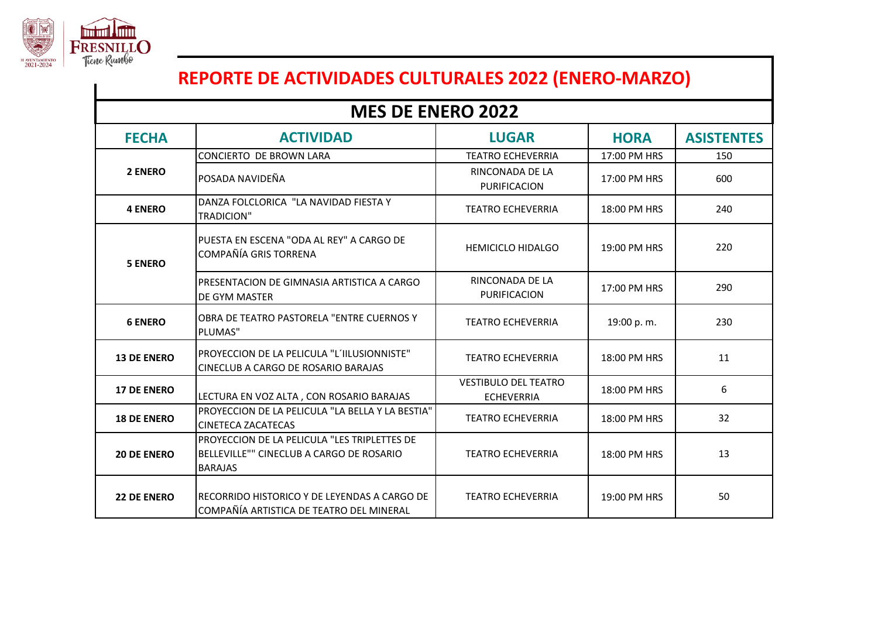

## **REPORTE DE ACTIVIDADES CULTURALES 2022 (ENERO-MARZO)**

## **FECHA ACTIVIDAD LUGAR HORA ASISTENTES** CONCIERTO DE BROWN LARA TEATRO ECHEVERRIA 17:00 PM HRS 150 | RINCONADA DE LA<br>| RINCONADA NAVIDEÑA PURIFICACION 17:00 PM HRS  $\vert$  600  **4 ENERO**  DANZA FOLCLORICA "LA NAVIDAD FIESTA Y TEATRO ECHEVERRIA 18:00 PM HRS 240 PUESTA EN ESCENA "ODA AL REY" A CARGO DE COMPAÑÍA GRIS TORRENA HEMICICLO HIDALGO (COMPAÑÍA GRIS TORRENA MEMICICLO HIDALGO (COMPAÑÍA GRIS TORRENA MEMICICLO HIDALGO (COMPAÑÍA GRIS TORRENA MEMICICLO HIDALGO (COMPAÑÍA GRIS TORRENA MEMICICLO HIDALGO (COMPAÑÍA GRIS TOR PRESENTACION DE GIMNASIA ARTISTICA A CARGO DE GYM MASTER RINCONADA DE LA PURIFICACION 17:00 PM HRS 290  **6 ENERO** OBRA DE TEATRO PASTORELA "ENTRE CUERNOS Y PLUMAS" TEATRO ECHEVERRIA | 19:00 p.m. | 230 **13 DE ENERO** PROYECCION DE LA PELICULA "L´IILUSIONNISTE" CINECLUB A CARGO DE ROSARIO BARAJAS TEATRO ECHEVERRIA 18:00 PM HRS 11 **17 DE ENERO** LECTURA EN VOZ ALTA , CON ROSARIO BARAJAS VESTIBULO DEL TEATRO ECHEVERRIA 18:00 PM HRS 6 **18 DE ENERO**  PROYECCION DE LA PELICULA "LA BELLA Y LA BESTIA" CINETECA ZACATECAS TEATRO ECHEVERRIA 18:00 PM HRS <sup>32</sup> **20 DE ENERO**  PROYECCION DE LA PELICULA "LES TRIPLETTES DE BELLEVILLE"" CINECLUB A CARGO DE ROSARIO BARAJAS TEATRO ECHEVERRIA 18:00 PM HRS | 13 **MES DE ENERO 2022 5 ENERO 2 ENERO**

TEATRO ECHEVERRIA 19:00 PM HRS 1

**22 DE ENERO** RECORRIDO HISTORICO Y DE LEYENDAS A CARGO DE

COMPAÑÍA ARTISTICA DE TEATRO DEL MINERAL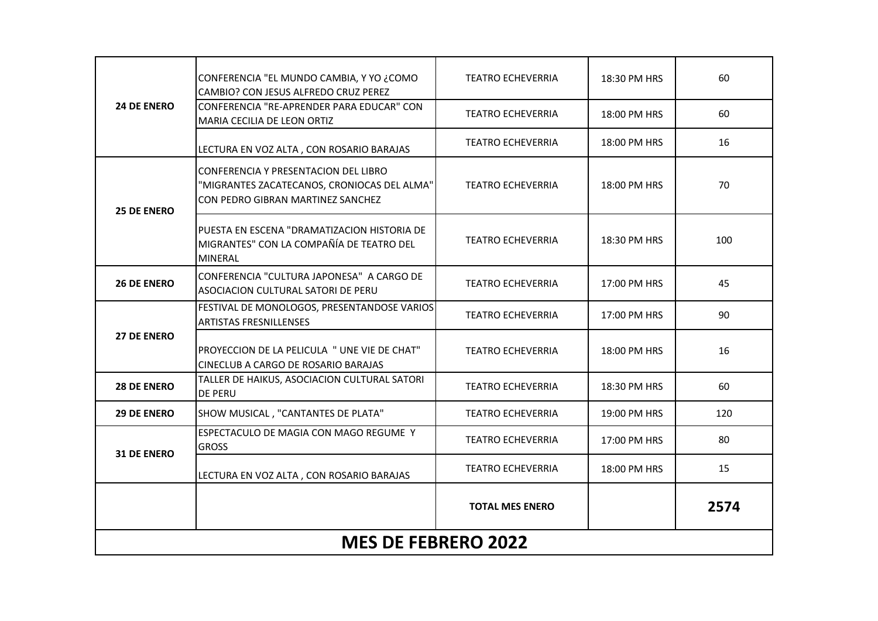| <b>24 DE ENERO</b>         | CONFERENCIA "EL MUNDO CAMBIA, Y YO ¿COMO<br>CAMBIO? CON JESUS ALFREDO CRUZ PEREZ                                                | <b>TEATRO ECHEVERRIA</b> | 18:30 PM HRS | 60   |
|----------------------------|---------------------------------------------------------------------------------------------------------------------------------|--------------------------|--------------|------|
|                            | CONFERENCIA "RE-APRENDER PARA EDUCAR" CON<br><b>MARIA CECILIA DE LEON ORTIZ</b>                                                 | <b>TEATRO ECHEVERRIA</b> | 18:00 PM HRS | 60   |
| <b>25 DE ENERO</b>         | LECTURA EN VOZ ALTA, CON ROSARIO BARAJAS                                                                                        | <b>TEATRO ECHEVERRIA</b> | 18:00 PM HRS | 16   |
|                            | <b>CONFERENCIA Y PRESENTACION DEL LIBRO</b><br>"MIGRANTES ZACATECANOS, CRONIOCAS DEL ALMA"<br>CON PEDRO GIBRAN MARTINEZ SANCHEZ | <b>TEATRO ECHEVERRIA</b> | 18:00 PM HRS | 70   |
|                            | PUESTA EN ESCENA "DRAMATIZACION HISTORIA DE<br>MIGRANTES" CON LA COMPAÑÍA DE TEATRO DEL<br><b>MINERAL</b>                       | <b>TEATRO ECHEVERRIA</b> | 18:30 PM HRS | 100  |
| <b>26 DE ENERO</b>         | CONFERENCIA "CULTURA JAPONESA" A CARGO DE<br>ASOCIACION CULTURAL SATORI DE PERU                                                 | <b>TEATRO ECHEVERRIA</b> | 17:00 PM HRS | 45   |
|                            | FESTIVAL DE MONOLOGOS, PRESENTANDOSE VARIOS<br><b>ARTISTAS FRESNILLENSES</b>                                                    | <b>TEATRO ECHEVERRIA</b> | 17:00 PM HRS | 90   |
| <b>27 DE ENERO</b>         | PROYECCION DE LA PELICULA " UNE VIE DE CHAT"<br><b>CINECLUB A CARGO DE ROSARIO BARAJAS</b>                                      | <b>TEATRO ECHEVERRIA</b> | 18:00 PM HRS | 16   |
| <b>28 DE ENERO</b>         | TALLER DE HAIKUS, ASOCIACION CULTURAL SATORI<br><b>DE PERU</b>                                                                  | <b>TEATRO ECHEVERRIA</b> | 18:30 PM HRS | 60   |
| <b>29 DE ENERO</b>         | SHOW MUSICAL, "CANTANTES DE PLATA"                                                                                              | <b>TEATRO ECHEVERRIA</b> | 19:00 PM HRS | 120  |
| 31 DE ENERO                | ESPECTACULO DE MAGIA CON MAGO REGUME Y<br><b>GROSS</b>                                                                          | <b>TEATRO ECHEVERRIA</b> | 17:00 PM HRS | 80   |
|                            | LECTURA EN VOZ ALTA, CON ROSARIO BARAJAS                                                                                        | <b>TEATRO ECHEVERRIA</b> | 18:00 PM HRS | 15   |
|                            |                                                                                                                                 | <b>TOTAL MES ENERO</b>   |              | 2574 |
| <b>MES DE FEBRERO 2022</b> |                                                                                                                                 |                          |              |      |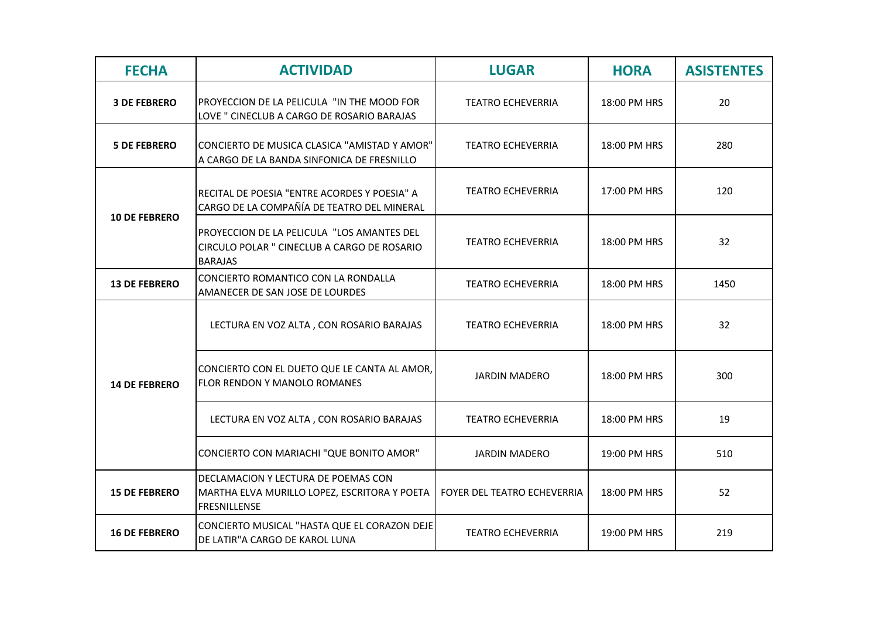| <b>FECHA</b>         | <b>ACTIVIDAD</b>                                                                                            | <b>LUGAR</b>                | <b>HORA</b>  | <b>ASISTENTES</b> |
|----------------------|-------------------------------------------------------------------------------------------------------------|-----------------------------|--------------|-------------------|
| <b>3 DE FEBRERO</b>  | PROYECCION DE LA PELICULA "IN THE MOOD FOR<br>LOVE " CINECLUB A CARGO DE ROSARIO BARAJAS                    | <b>TEATRO ECHEVERRIA</b>    | 18:00 PM HRS | 20                |
| <b>5 DE FEBRERO</b>  | CONCIERTO DE MUSICA CLASICA "AMISTAD Y AMOR"<br>A CARGO DE LA BANDA SINFONICA DE FRESNILLO                  | <b>TEATRO ECHEVERRIA</b>    | 18:00 PM HRS | 280               |
| <b>10 DE FEBRERO</b> | RECITAL DE POESIA "ENTRE ACORDES Y POESIA" A<br>CARGO DE LA COMPAÑÍA DE TEATRO DEL MINERAL                  | <b>TEATRO ECHEVERRIA</b>    | 17:00 PM HRS | 120               |
|                      | PROYECCION DE LA PELICULA "LOS AMANTES DEL<br>CIRCULO POLAR " CINECLUB A CARGO DE ROSARIO<br><b>BARAJAS</b> | <b>TEATRO ECHEVERRIA</b>    | 18:00 PM HRS | 32                |
| <b>13 DE FEBRERO</b> | CONCIERTO ROMANTICO CON LA RONDALLA<br>AMANECER DE SAN JOSE DE LOURDES                                      | <b>TEATRO ECHEVERRIA</b>    | 18:00 PM HRS | 1450              |
| <b>14 DE FEBRERO</b> | LECTURA EN VOZ ALTA, CON ROSARIO BARAJAS                                                                    | <b>TEATRO ECHEVERRIA</b>    | 18:00 PM HRS | 32                |
|                      | CONCIERTO CON EL DUETO QUE LE CANTA AL AMOR,<br>FLOR RENDON Y MANOLO ROMANES                                | <b>JARDIN MADERO</b>        | 18:00 PM HRS | 300               |
|                      | LECTURA EN VOZ ALTA, CON ROSARIO BARAJAS                                                                    | <b>TEATRO ECHEVERRIA</b>    | 18:00 PM HRS | 19                |
|                      | CONCIERTO CON MARIACHI "QUE BONITO AMOR"                                                                    | <b>JARDIN MADERO</b>        | 19:00 PM HRS | 510               |
| <b>15 DE FEBRERO</b> | DECLAMACION Y LECTURA DE POEMAS CON<br>MARTHA ELVA MURILLO LOPEZ, ESCRITORA Y POETA<br><b>FRESNILLENSE</b>  | FOYER DEL TEATRO ECHEVERRIA | 18:00 PM HRS | 52                |
| <b>16 DE FEBRERO</b> | CONCIERTO MUSICAL "HASTA QUE EL CORAZON DEJE<br>DE LATIR"A CARGO DE KAROL LUNA                              | <b>TEATRO ECHEVERRIA</b>    | 19:00 PM HRS | 219               |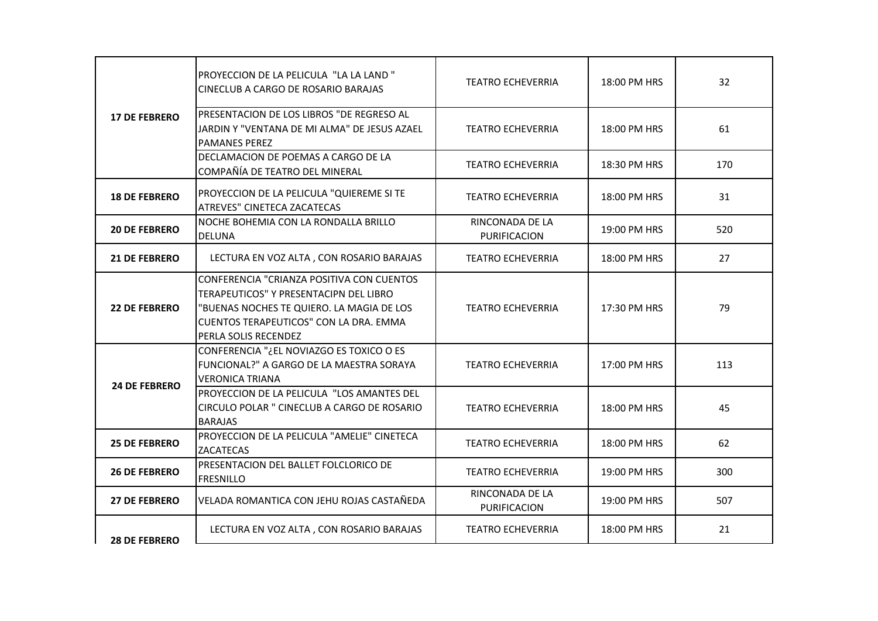| <b>17 DE FEBRERO</b> |                                                                                                                                                                                                    |                                 |              |     |
|----------------------|----------------------------------------------------------------------------------------------------------------------------------------------------------------------------------------------------|---------------------------------|--------------|-----|
|                      | PROYECCION DE LA PELICULA "LA LA LAND"<br><b>CINECLUB A CARGO DE ROSARIO BARAJAS</b>                                                                                                               | <b>TEATRO ECHEVERRIA</b>        | 18:00 PM HRS | 32  |
|                      | PRESENTACION DE LOS LIBROS "DE REGRESO AL<br>JARDIN Y "VENTANA DE MI ALMA" DE JESUS AZAEL<br><b>PAMANES PEREZ</b>                                                                                  | <b>TEATRO ECHEVERRIA</b>        | 18:00 PM HRS | 61  |
|                      | DECLAMACION DE POEMAS A CARGO DE LA<br>COMPAÑÍA DE TEATRO DEL MINERAL                                                                                                                              | <b>TEATRO ECHEVERRIA</b>        | 18:30 PM HRS | 170 |
| <b>18 DE FEBRERO</b> | PROYECCION DE LA PELICULA "QUIEREME SI TE<br>ATREVES" CINETECA ZACATECAS                                                                                                                           | <b>TEATRO ECHEVERRIA</b>        | 18:00 PM HRS | 31  |
| <b>20 DE FEBRERO</b> | NOCHE BOHEMIA CON LA RONDALLA BRILLO<br><b>DELUNA</b>                                                                                                                                              | RINCONADA DE LA<br>PURIFICACION | 19:00 PM HRS | 520 |
| <b>21 DE FEBRERO</b> | LECTURA EN VOZ ALTA, CON ROSARIO BARAJAS                                                                                                                                                           | <b>TEATRO ECHEVERRIA</b>        | 18:00 PM HRS | 27  |
| <b>22 DE FEBRERO</b> | CONFERENCIA "CRIANZA POSITIVA CON CUENTOS<br>TERAPEUTICOS" Y PRESENTACIPN DEL LIBRO<br>"BUENAS NOCHES TE QUIERO. LA MAGIA DE LOS<br>CUENTOS TERAPEUTICOS" CON LA DRA. EMMA<br>PERLA SOLIS RECENDEZ | <b>TEATRO ECHEVERRIA</b>        | 17:30 PM HRS | 79  |
| <b>24 DE FEBRERO</b> | CONFERENCIA "¿EL NOVIAZGO ES TOXICO O ES<br>FUNCIONAL?" A GARGO DE LA MAESTRA SORAYA<br><b>VERONICA TRIANA</b>                                                                                     | <b>TEATRO ECHEVERRIA</b>        | 17:00 PM HRS | 113 |
|                      | PROYECCION DE LA PELICULA "LOS AMANTES DEL<br>CIRCULO POLAR " CINECLUB A CARGO DE ROSARIO<br><b>BARAJAS</b>                                                                                        | <b>TEATRO ECHEVERRIA</b>        | 18:00 PM HRS | 45  |
| <b>25 DE FEBRERO</b> | PROYECCION DE LA PELICULA "AMELIE" CINETECA<br><b>ZACATECAS</b>                                                                                                                                    | <b>TEATRO ECHEVERRIA</b>        | 18:00 PM HRS | 62  |
| <b>26 DE FEBRERO</b> | PRESENTACION DEL BALLET FOLCLORICO DE<br><b>FRESNILLO</b>                                                                                                                                          | <b>TEATRO ECHEVERRIA</b>        | 19:00 PM HRS | 300 |
| <b>27 DE FEBRERO</b> | VELADA ROMANTICA CON JEHU ROJAS CASTAÑEDA                                                                                                                                                          | RINCONADA DE LA<br>PURIFICACION | 19:00 PM HRS | 507 |
| <b>28 DE FEBRERO</b> | LECTURA EN VOZ ALTA, CON ROSARIO BARAJAS                                                                                                                                                           | <b>TEATRO ECHEVERRIA</b>        | 18:00 PM HRS | 21  |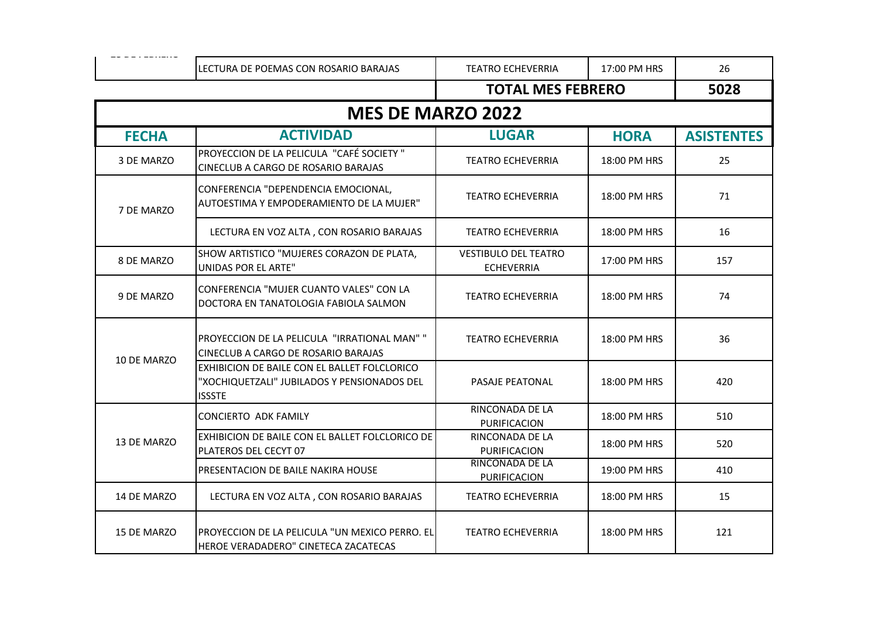|                          | LECTURA DE POEMAS CON ROSARIO BARAJAS                                                                        | <b>TEATRO ECHEVERRIA</b>                         | 17:00 PM HRS | 26                |  |
|--------------------------|--------------------------------------------------------------------------------------------------------------|--------------------------------------------------|--------------|-------------------|--|
|                          |                                                                                                              | <b>TOTAL MES FEBRERO</b>                         |              | 5028              |  |
| <b>MES DE MARZO 2022</b> |                                                                                                              |                                                  |              |                   |  |
| <b>FECHA</b>             | <b>ACTIVIDAD</b>                                                                                             | <b>LUGAR</b>                                     | <b>HORA</b>  | <b>ASISTENTES</b> |  |
| 3 DE MARZO               | PROYECCION DE LA PELICULA "CAFÉ SOCIETY"<br>CINECLUB A CARGO DE ROSARIO BARAJAS                              | <b>TEATRO ECHEVERRIA</b>                         | 18:00 PM HRS | 25                |  |
| 7 DE MARZO               | CONFERENCIA "DEPENDENCIA EMOCIONAL,<br>AUTOESTIMA Y EMPODERAMIENTO DE LA MUJER"                              | <b>TEATRO ECHEVERRIA</b>                         | 18:00 PM HRS | 71                |  |
|                          | LECTURA EN VOZ ALTA, CON ROSARIO BARAJAS                                                                     | <b>TEATRO ECHEVERRIA</b>                         | 18:00 PM HRS | 16                |  |
| 8 DE MARZO               | SHOW ARTISTICO "MUJERES CORAZON DE PLATA,<br><b>UNIDAS POR EL ARTE"</b>                                      | <b>VESTIBULO DEL TEATRO</b><br><b>ECHEVERRIA</b> | 17:00 PM HRS | 157               |  |
| 9 DE MARZO               | CONFERENCIA "MUJER CUANTO VALES" CON LA<br>DOCTORA EN TANATOLOGIA FABIOLA SALMON                             | <b>TEATRO ECHEVERRIA</b>                         | 18:00 PM HRS | 74                |  |
| 10 DE MARZO              | PROYECCION DE LA PELICULA "IRRATIONAL MAN" "<br>CINECLUB A CARGO DE ROSARIO BARAJAS                          | <b>TEATRO ECHEVERRIA</b>                         | 18:00 PM HRS | 36                |  |
|                          | EXHIBICION DE BAILE CON EL BALLET FOLCLORICO<br>"XOCHIQUETZALI" JUBILADOS Y PENSIONADOS DEL<br><b>ISSSTE</b> | <b>PASAJE PEATONAL</b>                           | 18:00 PM HRS | 420               |  |
| 13 DE MARZO              | <b>CONCIERTO ADK FAMILY</b>                                                                                  | RINCONADA DE LA<br>PURIFICACION                  | 18:00 PM HRS | 510               |  |
|                          | EXHIBICION DE BAILE CON EL BALLET FOLCLORICO DE<br>PLATEROS DEL CECYT 07                                     | RINCONADA DE LA<br><b>PURIFICACION</b>           | 18:00 PM HRS | 520               |  |
|                          | PRESENTACION DE BAILE NAKIRA HOUSE                                                                           | <b>RINCONADA DE LA</b><br>PURIFICACION           | 19:00 PM HRS | 410               |  |
| 14 DE MARZO              | LECTURA EN VOZ ALTA, CON ROSARIO BARAJAS                                                                     | <b>TEATRO ECHEVERRIA</b>                         | 18:00 PM HRS | 15                |  |
| 15 DE MARZO              | PROYECCION DE LA PELICULA "UN MEXICO PERRO. EL<br>HEROE VERADADERO" CINETECA ZACATECAS                       | <b>TEATRO ECHEVERRIA</b>                         | 18:00 PM HRS | 121               |  |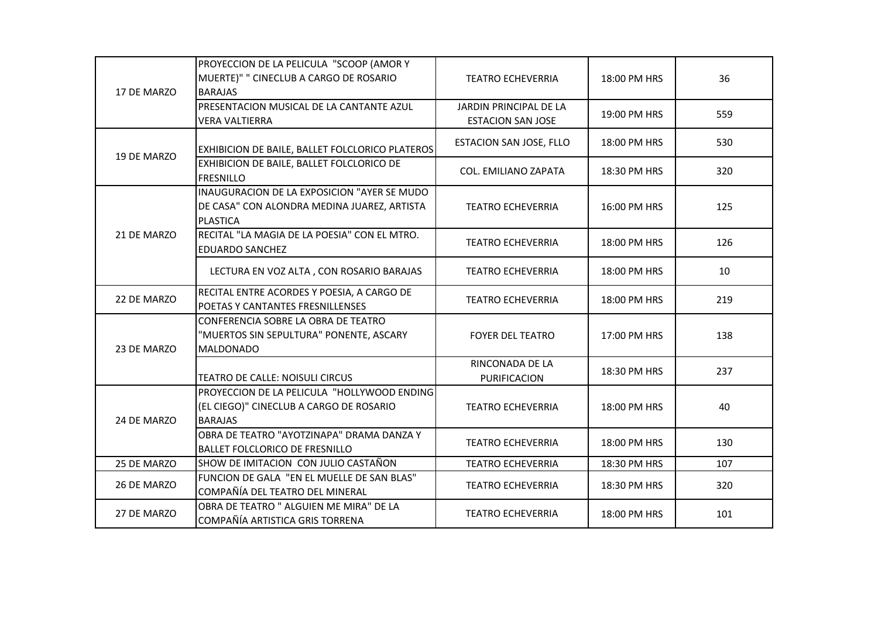| 17 DE MARZO | PROYECCION DE LA PELICULA "SCOOP (AMOR Y<br>MUERTE)" " CINECLUB A CARGO DE ROSARIO<br><b>BARAJAS</b>          | <b>TEATRO ECHEVERRIA</b>                           | 18:00 PM HRS | 36  |
|-------------|---------------------------------------------------------------------------------------------------------------|----------------------------------------------------|--------------|-----|
|             | PRESENTACION MUSICAL DE LA CANTANTE AZUL<br><b>VERA VALTIERRA</b>                                             | JARDIN PRINCIPAL DE LA<br><b>ESTACION SAN JOSE</b> | 19:00 PM HRS | 559 |
| 19 DE MARZO | EXHIBICION DE BAILE, BALLET FOLCLORICO PLATEROS                                                               | ESTACION SAN JOSE, FLLO                            | 18:00 PM HRS | 530 |
|             | EXHIBICION DE BAILE, BALLET FOLCLORICO DE<br><b>FRESNILLO</b>                                                 | <b>COL. EMILIANO ZAPATA</b>                        | 18:30 PM HRS | 320 |
|             | INAUGURACION DE LA EXPOSICION "AYER SE MUDO<br>DE CASA" CON ALONDRA MEDINA JUAREZ, ARTISTA<br><b>PLASTICA</b> | <b>TEATRO ECHEVERRIA</b>                           | 16:00 PM HRS | 125 |
| 21 DE MARZO | RECITAL "LA MAGIA DE LA POESIA" CON EL MTRO.<br><b>EDUARDO SANCHEZ</b>                                        | <b>TEATRO ECHEVERRIA</b>                           | 18:00 PM HRS | 126 |
|             | LECTURA EN VOZ ALTA, CON ROSARIO BARAJAS                                                                      | <b>TEATRO ECHEVERRIA</b>                           | 18:00 PM HRS | 10  |
| 22 DE MARZO | RECITAL ENTRE ACORDES Y POESIA, A CARGO DE<br>POETAS Y CANTANTES FRESNILLENSES                                | <b>TEATRO ECHEVERRIA</b>                           | 18:00 PM HRS | 219 |
| 23 DE MARZO | CONFERENCIA SOBRE LA OBRA DE TEATRO<br>"MUERTOS SIN SEPULTURA" PONENTE, ASCARY<br><b>MALDONADO</b>            | <b>FOYER DEL TEATRO</b>                            | 17:00 PM HRS | 138 |
|             | <b>TEATRO DE CALLE: NOISULI CIRCUS</b>                                                                        | RINCONADA DE LA<br>PURIFICACION                    | 18:30 PM HRS | 237 |
| 24 DE MARZO | PROYECCION DE LA PELICULA "HOLLYWOOD ENDING<br>(EL CIEGO)" CINECLUB A CARGO DE ROSARIO<br><b>BARAJAS</b>      | <b>TEATRO ECHEVERRIA</b>                           | 18:00 PM HRS | 40  |
|             | OBRA DE TEATRO "AYOTZINAPA" DRAMA DANZA Y<br><b>BALLET FOLCLORICO DE FRESNILLO</b>                            | <b>TEATRO ECHEVERRIA</b>                           | 18:00 PM HRS | 130 |
| 25 DE MARZO | SHOW DE IMITACION CON JULIO CASTAÑON                                                                          | <b>TEATRO ECHEVERRIA</b>                           | 18:30 PM HRS | 107 |
| 26 DE MARZO | FUNCION DE GALA "EN EL MUELLE DE SAN BLAS"<br>COMPAÑÍA DEL TEATRO DEL MINERAL                                 | <b>TEATRO ECHEVERRIA</b>                           | 18:30 PM HRS | 320 |
| 27 DE MARZO | OBRA DE TEATRO " ALGUIEN ME MIRA" DE LA<br>COMPAÑÍA ARTISTICA GRIS TORRENA                                    | <b>TEATRO ECHEVERRIA</b>                           | 18:00 PM HRS | 101 |